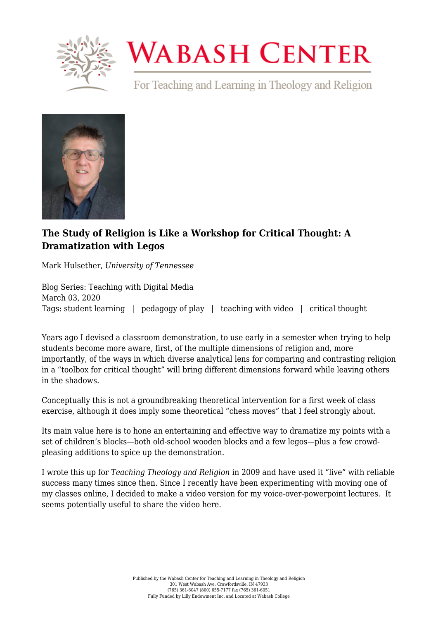

## **WABASH CENTER**

For Teaching and Learning in Theology and Religion



## **[The Study of Religion is Like a Workshop for Critical Thought: A](https://www.wabashcenter.wabash.edu/2020/03/the-study-of-religion-is-like-a-workshop-for-critical-thought-a-dramatization-with-legos/) [Dramatization with Legos](https://www.wabashcenter.wabash.edu/2020/03/the-study-of-religion-is-like-a-workshop-for-critical-thought-a-dramatization-with-legos/)**

Mark Hulsether, *University of Tennessee*

Blog Series: Teaching with Digital Media March 03, 2020 Tags: student learning | pedagogy of play | teaching with video | critical thought

Years ago I devised a classroom demonstration, to use early in a semester when trying to help students become more aware, first, of the multiple dimensions of religion and, more importantly, of the ways in which diverse analytical lens for comparing and contrasting religion in a "toolbox for critical thought" will bring different dimensions forward while leaving others in the shadows.

Conceptually this is not a groundbreaking theoretical intervention for a first week of class exercise, although it does imply some theoretical "chess moves" that I feel strongly about.

Its main value here is to hone an entertaining and effective way to dramatize my points with a set of children's blocks—both old-school wooden blocks and a few legos—plus a few crowdpleasing additions to spice up the demonstration.

I wrote this up for *[Teaching Theology and Religion](https://onlinelibrary.wiley.com/doi/full/10.1111/j.1467-9647.2008.00473.x)* in 2009 and have used it "live" with reliable success many times since then. Since I recently have been experimenting with moving one of my classes online, I decided to make a [video version](https://marksbloggingexperiment.com/2020/01/17/a-workshop-for-critical-thought-about-u-s-religion-with-silly-putty-and-a-carved-lion/) for my voice-over-powerpoint lectures. It seems potentially useful to share the video here.